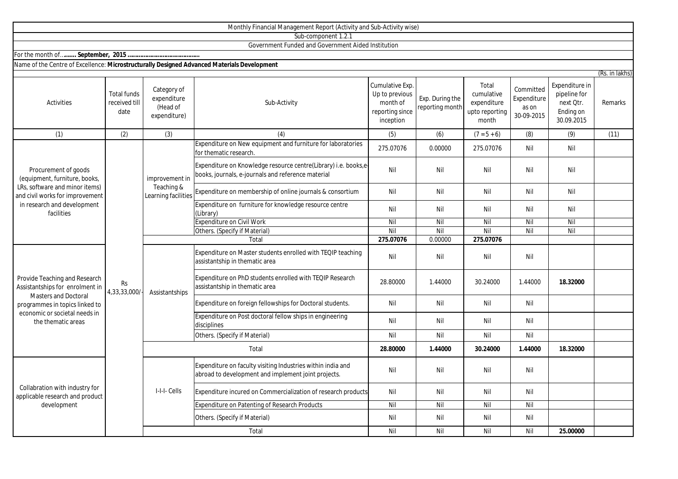|                                                                                                                                                                                          |                                             |                                                        | Monthly Financial Management Report (Activity and Sub-Activity wise)                                                  |                                                                               |                                    |                                                               |                                                 |                                                                        |                |
|------------------------------------------------------------------------------------------------------------------------------------------------------------------------------------------|---------------------------------------------|--------------------------------------------------------|-----------------------------------------------------------------------------------------------------------------------|-------------------------------------------------------------------------------|------------------------------------|---------------------------------------------------------------|-------------------------------------------------|------------------------------------------------------------------------|----------------|
|                                                                                                                                                                                          |                                             |                                                        | Sub-component 1.2.1                                                                                                   |                                                                               |                                    |                                                               |                                                 |                                                                        |                |
|                                                                                                                                                                                          |                                             |                                                        | Government Funded and Government Aided Institution                                                                    |                                                                               |                                    |                                                               |                                                 |                                                                        |                |
|                                                                                                                                                                                          |                                             |                                                        |                                                                                                                       |                                                                               |                                    |                                                               |                                                 |                                                                        |                |
| Name of the Centre of Excellence: Microstructurally Designed Advanced Materials Development                                                                                              |                                             |                                                        |                                                                                                                       |                                                                               |                                    |                                                               |                                                 |                                                                        |                |
|                                                                                                                                                                                          |                                             |                                                        |                                                                                                                       |                                                                               |                                    |                                                               |                                                 |                                                                        | (Rs. in lakhs) |
| Activities                                                                                                                                                                               | <b>Total funds</b><br>received till<br>date | Category of<br>expenditure<br>(Head of<br>expenditure) | Sub-Activity                                                                                                          | Cumulative Exp.<br>Up to previous<br>month of<br>reporting since<br>inception | Exp. During the<br>reporting month | Total<br>cumulative<br>expenditure<br>upto reporting<br>month | Committed<br>Expenditure<br>as on<br>30-09-2015 | Expenditure in<br>pipeline for<br>next Qtr.<br>Ending on<br>30.09.2015 | Remarks        |
| (1)                                                                                                                                                                                      | (2)                                         | (3)                                                    | (4)                                                                                                                   | (5)                                                                           | (6)                                | $(7 = 5 + 6)$                                                 | (8)                                             | (9)                                                                    | (11)           |
| Procurement of goods<br>(equipment, furniture, books,<br>LRs, software and minor items)<br>and civil works for improvement<br>in research and development<br>facilities                  | <b>Rs</b><br>4,33,33,000/                   | improvement in<br>Teaching &<br>Learning facilities    | Expenditure on New equipment and furniture for laboratories<br>for thematic research                                  | 275.07076                                                                     | 0.00000                            | 275.07076                                                     | Nil                                             | Nil                                                                    |                |
|                                                                                                                                                                                          |                                             |                                                        | Expenditure on Knowledge resource centre(Library) i.e. books,e-<br>books, journals, e-journals and reference material | Nil                                                                           | Nil                                | Nil                                                           | Nil                                             | Nil                                                                    |                |
|                                                                                                                                                                                          |                                             |                                                        | Expenditure on membership of online journals & consortium                                                             | Nil                                                                           | Nil                                | Nil                                                           | Nil                                             | Nil                                                                    |                |
|                                                                                                                                                                                          |                                             |                                                        | Expenditure on furniture for knowledge resource centre<br>(Library)                                                   | Nil                                                                           | Nil                                | Nil                                                           | Nil                                             | Nil                                                                    |                |
|                                                                                                                                                                                          |                                             |                                                        | <b>Expenditure on Civil Work</b>                                                                                      | Nil                                                                           | Nil                                | Nil                                                           | Nil                                             | Nil                                                                    |                |
|                                                                                                                                                                                          |                                             |                                                        | Others. (Specify if Material)                                                                                         | Nil                                                                           | Nil                                | Nil                                                           | Nil                                             | Nil                                                                    |                |
|                                                                                                                                                                                          |                                             |                                                        | Total                                                                                                                 | 275.07076                                                                     | 0.00000                            | 275.07076                                                     |                                                 |                                                                        |                |
| Provide Teaching and Research<br>Assistantships for enrolment in<br><b>Masters and Doctoral</b><br>programmes in topics linked to<br>economic or societal needs in<br>the thematic areas |                                             | Assistantships                                         | Expenditure on Master students enrolled with TEQIP teaching<br>assistantship in thematic area                         | Nil                                                                           | Nil                                | Nil                                                           | Nil                                             |                                                                        |                |
|                                                                                                                                                                                          |                                             |                                                        | Expenditure on PhD students enrolled with TEQIP Research<br>assistantship in thematic area                            | 28.80000                                                                      | 1.44000                            | 30.24000                                                      | 1.44000                                         | 18.32000                                                               |                |
|                                                                                                                                                                                          |                                             |                                                        | Expenditure on foreign fellowships for Doctoral students.                                                             | Nil                                                                           | Nil                                | Nil                                                           | Nil                                             |                                                                        |                |
|                                                                                                                                                                                          |                                             |                                                        | Expenditure on Post doctoral fellow ships in engineering<br>disciplines                                               | Nil                                                                           | Nil                                | Nil                                                           | Nil                                             |                                                                        |                |
|                                                                                                                                                                                          |                                             |                                                        | Others. (Specify if Material)                                                                                         | Nil                                                                           | Nil                                | Nil                                                           | Nil                                             |                                                                        |                |
|                                                                                                                                                                                          |                                             | Total                                                  |                                                                                                                       | 28.80000                                                                      | 1.44000                            | 30.24000                                                      | 1.44000                                         | 18.32000                                                               |                |
| Collabration with industry for<br>applicable research and product<br>development                                                                                                         |                                             | I-I-I- Cells                                           | Expenditure on faculty visiting Industries within india and<br>abroad to development and implement joint projects.    | Nil                                                                           | Nil                                | Nil                                                           | Nil                                             |                                                                        |                |
|                                                                                                                                                                                          |                                             |                                                        | Expenditure incured on Commercialization of research products                                                         | Nil                                                                           | Nil                                | Nil                                                           | Nil                                             |                                                                        |                |
|                                                                                                                                                                                          |                                             |                                                        | Expenditure on Patenting of Research Products                                                                         | Nil                                                                           | Nil                                | Nil                                                           | Nil                                             |                                                                        |                |
|                                                                                                                                                                                          |                                             |                                                        | Others. (Specify if Material)                                                                                         | Nil                                                                           | Nil                                | Nil                                                           | Nil                                             |                                                                        |                |

Total

 $\mathbf{I}$ 

Nil Nil Nil Nil **25.00000**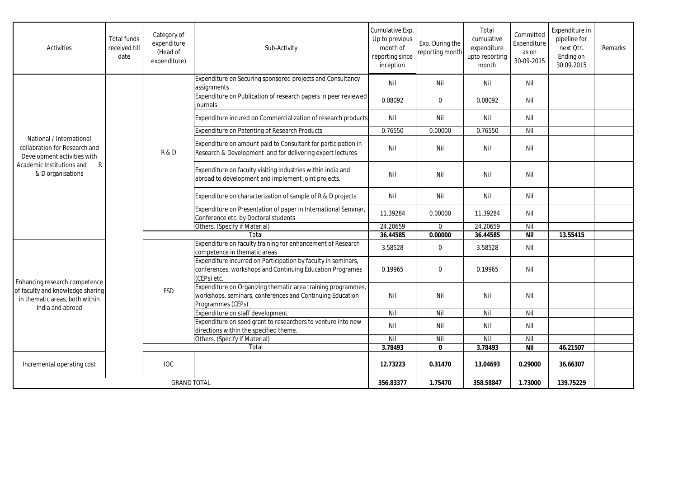| <b>Activities</b>                                                                                                                               | <b>Total funds</b><br>received till<br>date | Category of<br>expenditure<br>(Head of<br>expenditure) | Sub-Activity                                                                                                                                   | Cumulative Exp.<br>Up to previous<br>month of<br>reporting since<br>inception | Exp. During the<br>reporting month | Total<br>cumulative<br>expenditure<br>upto reporting<br>month | Committed<br>Expenditure<br>as on<br>30-09-2015 | Expenditure in<br>pipeline for<br>next Otr.<br>Ending on<br>30.09.2015 | Remarks |
|-------------------------------------------------------------------------------------------------------------------------------------------------|---------------------------------------------|--------------------------------------------------------|------------------------------------------------------------------------------------------------------------------------------------------------|-------------------------------------------------------------------------------|------------------------------------|---------------------------------------------------------------|-------------------------------------------------|------------------------------------------------------------------------|---------|
| National / International<br>collabration for Research and<br>Development activities with<br>Academic Institutions and<br>R<br>& D organisations |                                             | R&D                                                    | Expenditure on Securing sponsored projects and Consultancy<br>assignments                                                                      | Nil                                                                           | Nil                                | Nil                                                           | Nil                                             |                                                                        |         |
|                                                                                                                                                 |                                             |                                                        | Expenditure on Publication of research papers in peer reviewed<br>iournals                                                                     | 0.08092                                                                       | $\mathbf 0$                        | 0.08092                                                       | Nil                                             |                                                                        |         |
|                                                                                                                                                 |                                             |                                                        | Expenditure incured on Commercialization of research products                                                                                  | Nil                                                                           | Nil                                | Nil                                                           | Nil                                             |                                                                        |         |
|                                                                                                                                                 |                                             |                                                        | <b>Expenditure on Patenting of Research Products</b>                                                                                           | 0.76550                                                                       | 0.00000                            | 0.76550                                                       | Nil                                             |                                                                        |         |
|                                                                                                                                                 |                                             |                                                        | Expenditure on amount paid to Consultant for participation in<br>Research & Development and for delivering expert lectures                     | Nil                                                                           | Nil                                | Nil                                                           | Nil                                             |                                                                        |         |
|                                                                                                                                                 |                                             |                                                        | Expenditure on faculty visiting Industries within india and<br>abroad to development and implement joint projects.                             | Nil                                                                           | Nil                                | Nil                                                           | Nil                                             |                                                                        |         |
|                                                                                                                                                 |                                             |                                                        | Expenditure on characterization of sample of R & D projects                                                                                    | Nil                                                                           | Nil                                | Nil                                                           | Nil                                             |                                                                        |         |
|                                                                                                                                                 |                                             |                                                        | Expenditure on Presentation of paper in International Seminar,<br>Conference etc. by Doctoral students                                         | 11.39284                                                                      | 0.00000                            | 11.39284                                                      | Nil                                             |                                                                        |         |
|                                                                                                                                                 |                                             |                                                        | Others. (Specify if Material)                                                                                                                  | 24.20659                                                                      | $\mathbf 0$                        | 24.20659                                                      | Nil                                             |                                                                        |         |
|                                                                                                                                                 |                                             |                                                        | Total                                                                                                                                          | 36.44585                                                                      | 0.00000                            | 36.44585                                                      | <b>Nil</b>                                      | 13.55415                                                               |         |
| Enhancing research competence<br>of faculty and knowledge sharing<br>in thematic areas, both within<br>India and abroad                         |                                             | <b>FSD</b>                                             | Expenditure on faculty training for enhancement of Research<br>competence in thematic areas                                                    | 3.58528                                                                       | $\pmb{0}$                          | 3.58528                                                       | Nil                                             |                                                                        |         |
|                                                                                                                                                 |                                             |                                                        | Expenditure incurred on Participation by faculty in seminars,<br>conferences, workshops and Continuing Education Programes<br>(CEPs) etc.      | 0.19965                                                                       | $\Omega$                           | 0.19965                                                       | Nil                                             |                                                                        |         |
|                                                                                                                                                 |                                             |                                                        | Expenditure on Organizing thematic area training programmes,<br>workshops, seminars, conferences and Continuing Education<br>Programmes (CEPs) | Nil                                                                           | Nil                                | Nil                                                           | Nil                                             |                                                                        |         |
|                                                                                                                                                 |                                             |                                                        | Expenditure on staff development                                                                                                               | Nil                                                                           | Nil                                | $\overline{N}$                                                | Nil                                             |                                                                        |         |
|                                                                                                                                                 |                                             |                                                        | Expenditure on seed grant to researchers to venture into new<br>directions within the specified theme.                                         | Nil                                                                           | Nil                                | Nil                                                           | Nil                                             |                                                                        |         |
|                                                                                                                                                 |                                             |                                                        | Others. (Specify if Material)                                                                                                                  | Nil                                                                           | Nil                                | Nil                                                           | Nil                                             |                                                                        |         |
|                                                                                                                                                 |                                             |                                                        | Total                                                                                                                                          | 3.78493                                                                       | $\mathbf{0}$                       | 3.78493                                                       | Nil                                             | 46.21507                                                               |         |
| Incremental operating cost                                                                                                                      |                                             | <b>IOC</b>                                             |                                                                                                                                                | 12.73223                                                                      | 0.31470                            | 13.04693                                                      | 0.29000                                         | 36.66307                                                               |         |
| <b>GRAND TOTAL</b>                                                                                                                              |                                             |                                                        | 356.83377                                                                                                                                      | 1.75470                                                                       | 358.58847                          | 1.73000                                                       | 139.75229                                       |                                                                        |         |